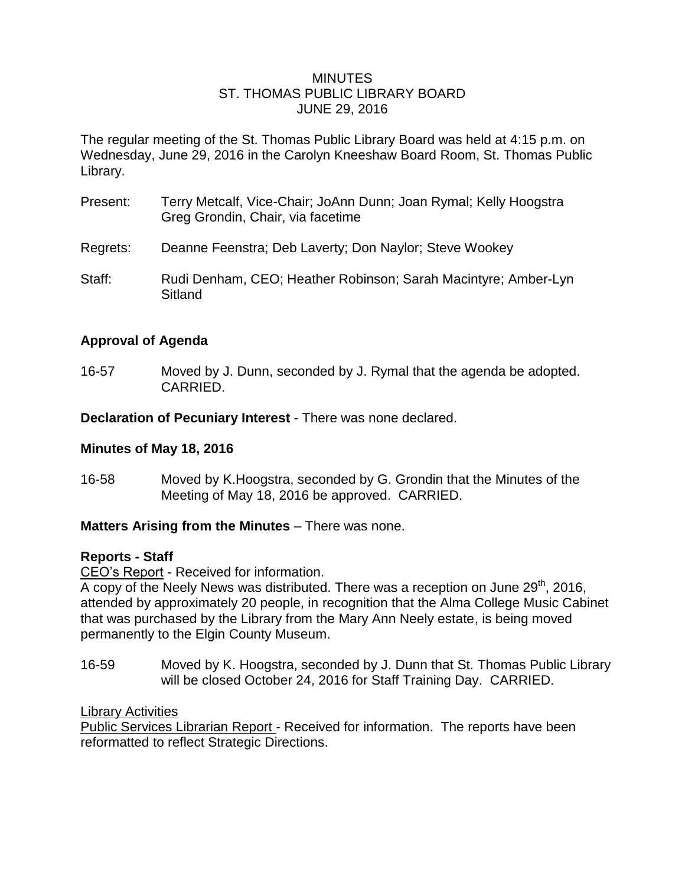#### MINUTES ST. THOMAS PUBLIC LIBRARY BOARD JUNE 29, 2016

The regular meeting of the St. Thomas Public Library Board was held at 4:15 p.m. on Wednesday, June 29, 2016 in the Carolyn Kneeshaw Board Room, St. Thomas Public Library.

- Present: Terry Metcalf, Vice-Chair; JoAnn Dunn; Joan Rymal; Kelly Hoogstra Greg Grondin, Chair, via facetime
- Regrets: Deanne Feenstra; Deb Laverty; Don Naylor; Steve Wookey
- Staff: Rudi Denham, CEO; Heather Robinson; Sarah Macintyre; Amber-Lyn Sitland

# **Approval of Agenda**

16-57 Moved by J. Dunn, seconded by J. Rymal that the agenda be adopted. CARRIED.

**Declaration of Pecuniary Interest** - There was none declared.

## **Minutes of May 18, 2016**

16-58 Moved by K.Hoogstra, seconded by G. Grondin that the Minutes of the Meeting of May 18, 2016 be approved. CARRIED.

## **Matters Arising from the Minutes** – There was none.

## **Reports - Staff**

CEO's Report - Received for information.

A copy of the Neely News was distributed. There was a reception on June  $29<sup>th</sup>$ , 2016, attended by approximately 20 people, in recognition that the Alma College Music Cabinet that was purchased by the Library from the Mary Ann Neely estate, is being moved permanently to the Elgin County Museum.

16-59 Moved by K. Hoogstra, seconded by J. Dunn that St. Thomas Public Library will be closed October 24, 2016 for Staff Training Day. CARRIED.

### Library Activities

Public Services Librarian Report - Received for information. The reports have been reformatted to reflect Strategic Directions.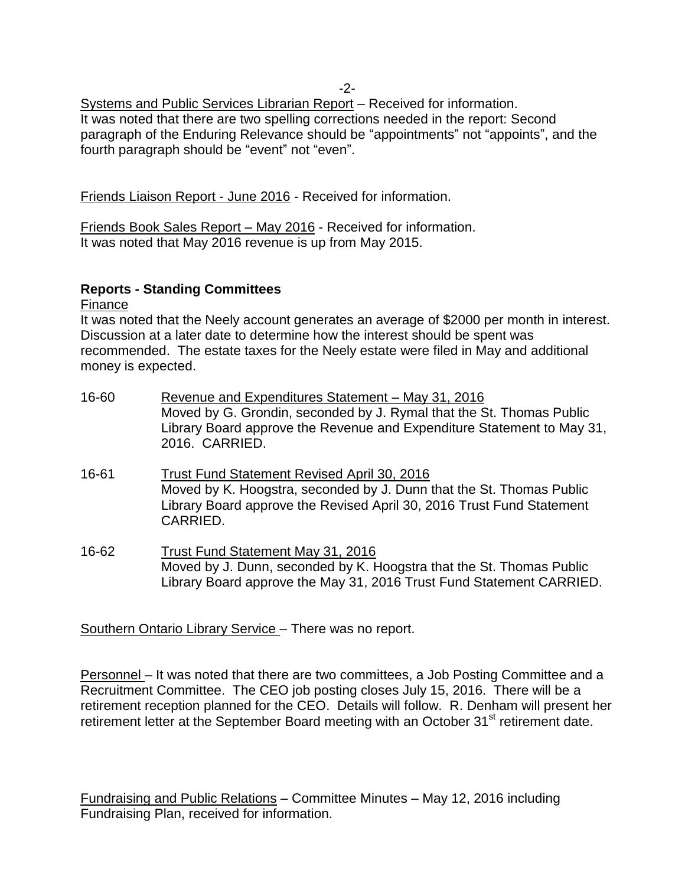-2-

Systems and Public Services Librarian Report – Received for information. It was noted that there are two spelling corrections needed in the report: Second paragraph of the Enduring Relevance should be "appointments" not "appoints", and the fourth paragraph should be "event" not "even".

Friends Liaison Report - June 2016 - Received for information.

Friends Book Sales Report – May 2016 - Received for information. It was noted that May 2016 revenue is up from May 2015.

## **Reports - Standing Committees**

Finance

It was noted that the Neely account generates an average of \$2000 per month in interest. Discussion at a later date to determine how the interest should be spent was recommended. The estate taxes for the Neely estate were filed in May and additional money is expected.

- 16-60 Revenue and Expenditures Statement May 31, 2016 Moved by G. Grondin, seconded by J. Rymal that the St. Thomas Public Library Board approve the Revenue and Expenditure Statement to May 31, 2016. CARRIED.
- 16-61 Trust Fund Statement Revised April 30, 2016 Moved by K. Hoogstra, seconded by J. Dunn that the St. Thomas Public Library Board approve the Revised April 30, 2016 Trust Fund Statement CARRIED.
- 16-62 Trust Fund Statement May 31, 2016 Moved by J. Dunn, seconded by K. Hoogstra that the St. Thomas Public Library Board approve the May 31, 2016 Trust Fund Statement CARRIED.

Southern Ontario Library Service – There was no report.

Personnel – It was noted that there are two committees, a Job Posting Committee and a Recruitment Committee. The CEO job posting closes July 15, 2016. There will be a retirement reception planned for the CEO. Details will follow. R. Denham will present her retirement letter at the September Board meeting with an October 31<sup>st</sup> retirement date.

Fundraising and Public Relations – Committee Minutes – May 12, 2016 including Fundraising Plan, received for information.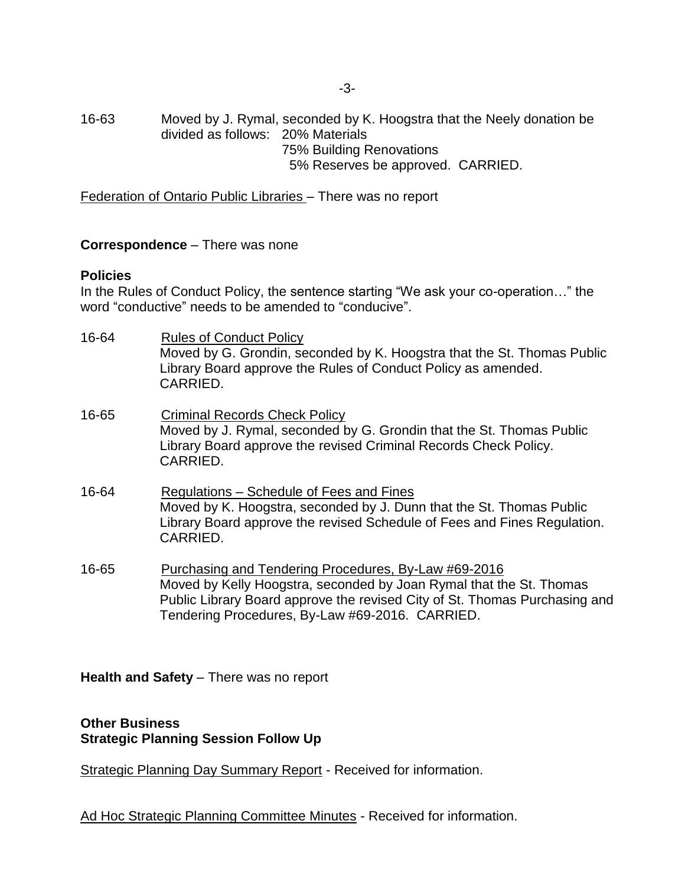16-63 Moved by J. Rymal, seconded by K. Hoogstra that the Neely donation be divided as follows: 20% Materials 75% Building Renovations 5% Reserves be approved. CARRIED.

Federation of Ontario Public Libraries – There was no report

**Correspondence** – There was none

#### **Policies**

In the Rules of Conduct Policy, the sentence starting "We ask your co-operation…" the word "conductive" needs to be amended to "conducive".

- 16-64 Rules of Conduct Policy Moved by G. Grondin, seconded by K. Hoogstra that the St. Thomas Public Library Board approve the Rules of Conduct Policy as amended. CARRIED.
- 16-65 Criminal Records Check Policy Moved by J. Rymal, seconded by G. Grondin that the St. Thomas Public Library Board approve the revised Criminal Records Check Policy. CARRIED.
- 16-64 Regulations Schedule of Fees and Fines Moved by K. Hoogstra, seconded by J. Dunn that the St. Thomas Public Library Board approve the revised Schedule of Fees and Fines Regulation. CARRIED.
- 16-65 Purchasing and Tendering Procedures, By-Law #69-2016 Moved by Kelly Hoogstra, seconded by Joan Rymal that the St. Thomas Public Library Board approve the revised City of St. Thomas Purchasing and Tendering Procedures, By-Law #69-2016. CARRIED.

**Health and Safety** – There was no report

### **Other Business Strategic Planning Session Follow Up**

Strategic Planning Day Summary Report - Received for information.

Ad Hoc Strategic Planning Committee Minutes - Received for information.